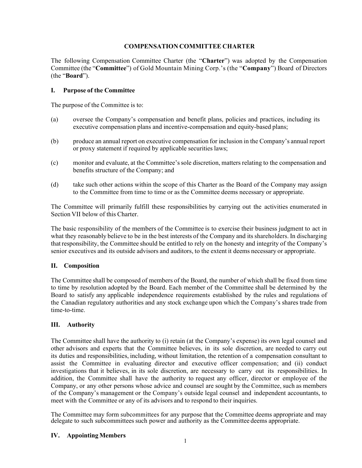## **COMPENSATION COMMITTEE CHARTER**

The following Compensation Committee Charter (the "**Charter**") was adopted by the Compensation Committee (the "**Committee**") of Gold Mountain Mining Corp.'s (the "**Company**") Board of Directors (the "**Board**").

## **I. Purpose of the Committee**

The purpose of the Committee is to:

- (a) oversee the Company's compensation and benefit plans, policies and practices, including its executive compensation plans and incentive-compensation and equity-based plans;
- (b) produce an annual report on executive compensation for inclusion in the Company's annual report or proxy statement if required by applicable securities laws;
- (c) monitor and evaluate, at the Committee'ssole discretion, matters relating to the compensation and benefits structure of the Company; and
- (d) take such other actions within the scope of this Charter as the Board of the Company may assign to the Committee from time to time or as the Committee deems necessary or appropriate.

The Committee will primarily fulfill these responsibilities by carrying out the activities enumerated in Section VII below of this Charter.

The basic responsibility of the members of the Committee is to exercise their business judgment to act in what they reasonably believe to be in the best interests of the Company and its shareholders. In discharging thatresponsibility, the Committee should be entitled to rely on the honesty and integrity of the Company's senior executives and its outside advisors and auditors, to the extent it deems necessary or appropriate.

# **II. Composition**

The Committee shall be composed of members of the Board, the number of which shall be fixed from time to time by resolution adopted by the Board. Each member of the Committee shall be determined by the Board to satisfy any applicable independence requirements established by the rules and regulations of the Canadian regulatory authorities and any stock exchange upon which the Company's shares trade from time-to-time.

# **III. Authority**

The Committee shall have the authority to (i) retain (at the Company's expense) its own legal counsel and other advisors and experts that the Committee believes, in its sole discretion, are needed to carry out its duties and responsibilities, including, without limitation, the retention of a compensation consultant to assist the Committee in evaluating director and executive officer compensation; and (ii) conduct investigations that it believes, in its sole discretion, are necessary to carry out its responsibilities. In addition, the Committee shall have the authority to request any officer, director or employee of the Company, or any other persons whose advice and counsel are sought by the Committee, such as members of the Company's management or the Company's outside legal counsel and independent accountants, to meet with the Committee or any of its advisors and to respond to their inquiries.

The Committee may form subcommittees for any purpose that the Committee deems appropriate and may delegate to such subcommittees such power and authority as the Committee deems appropriate.

#### **IV. AppointingMembers**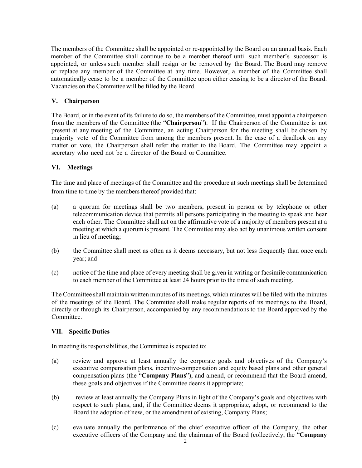The members of the Committee shall be appointed or re-appointed by the Board on an annual basis. Each member of the Committee shall continue to be a member thereof until such member's successor is appointed, or unless such member shall resign or be removed by the Board. The Board may remove or replace any member of the Committee at any time. However, a member of the Committee shall automatically cease to be a member of the Committee upon either ceasing to be a director of the Board. Vacancies on the Committee will be filled by the Board.

## **V. Chairperson**

The Board, or in the event of its failure to do so, the members of the Committee, must appoint a chairperson from the members of the Committee (the "**Chairperson**"). If the Chairperson of the Committee is not present at any meeting of the Committee, an acting Chairperson for the meeting shall be chosen by majority vote of the Committee from among the members present. In the case of a deadlock on any matter or vote, the Chairperson shall refer the matter to the Board. The Committee may appoint a secretary who need not be a director of the Board or Committee.

## **VI. Meetings**

The time and place of meetings of the Committee and the procedure at such meetings shall be determined from time to time by the members thereof provided that:

- (a) a quorum for meetings shall be two members, present in person or by telephone or other telecommunication device that permits all persons participating in the meeting to speak and hear each other. The Committee shall act on the affirmative vote of a majority of members present at a meeting at which a quorum is present. The Committee may also act by unanimous written consent in lieu of meeting;
- (b) the Committee shall meet as often as it deems necessary, but not less frequently than once each year; and
- (c) notice of the time and place of every meeting shall be given in writing or facsimile communication to each member of the Committee at least 24 hours prior to the time of such meeting.

The Committee shall maintain written minutes of its meetings, which minutes will be filed with the minutes of the meetings of the Board. The Committee shall make regular reports of its meetings to the Board, directly or through its Chairperson, accompanied by any recommendations to the Board approved by the Committee.

#### **VII. Specific Duties**

In meeting its responsibilities, the Committee is expected to:

- (a) review and approve at least annually the corporate goals and objectives of the Company's executive compensation plans, incentive-compensation and equity based plans and other general compensation plans (the "**Company Plans**"), and amend, or recommend that the Board amend, these goals and objectives if the Committee deems it appropriate;
- (b) review at least annually the Company Plans in light of the Company's goals and objectives with respect to such plans, and, if the Committee deems it appropriate, adopt, or recommend to the Board the adoption of new, or the amendment of existing, Company Plans;
- (c) evaluate annually the performance of the chief executive officer of the Company, the other executive officers of the Company and the chairman of the Board (collectively, the "**Company**